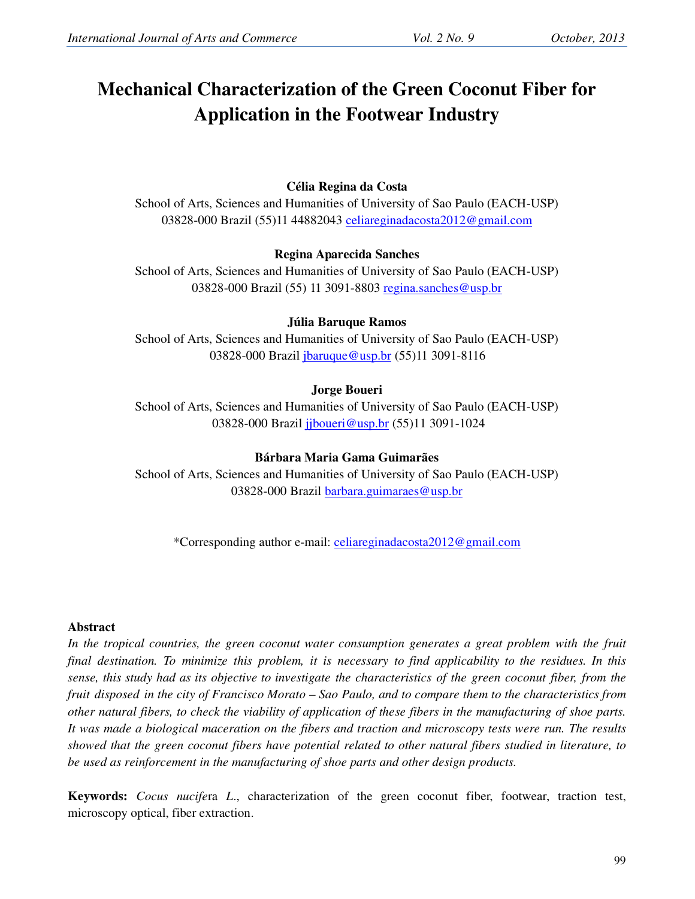# **Mechanical Characterization of the Green Coconut Fiber for Application in the Footwear Industry**

# **Célia Regina da Costa**

School of Arts, Sciences and Humanities of University of Sao Paulo (EACH-USP) 03828-000 Brazil (55)11 44882043 celiareginadacosta2012@gmail.com

# **Regina Aparecida Sanches**

School of Arts, Sciences and Humanities of University of Sao Paulo (EACH-USP) 03828-000 Brazil (55) 11 3091-8803 regina.sanches@usp.br

# **Júlia Baruque Ramos**

School of Arts, Sciences and Humanities of University of Sao Paulo (EACH-USP) 03828-000 Brazil jbaruque@usp.br (55)11 3091-8116

# **Jorge Boueri**

School of Arts, Sciences and Humanities of University of Sao Paulo (EACH-USP) 03828-000 Brazil jjboueri@usp.br (55)11 3091-1024

# **Bárbara Maria Gama Guimarães**

School of Arts, Sciences and Humanities of University of Sao Paulo (EACH-USP) 03828-000 Brazil barbara.guimaraes@usp.br

\*Corresponding author e-mail: celiareginadacosta2012@gmail.com

# **Abstract**

In the tropical countries, the green coconut water consumption generates a great problem with the fruit *final destination. To minimize this problem, it is necessary to find applicability to the residues. In this sense, this study had as its objective to investigate the characteristics of the green coconut fiber, from the fruit disposed in the city of Francisco Morato – Sao Paulo, and to compare them to the characteristics from other natural fibers, to check the viability of application of these fibers in the manufacturing of shoe parts. It was made a biological maceration on the fibers and traction and microscopy tests were run. The results showed that the green coconut fibers have potential related to other natural fibers studied in literature, to be used as reinforcement in the manufacturing of shoe parts and other design products.*

**Keywords:** *Cocus nucife*ra *L*., characterization of the green coconut fiber, footwear, traction test, microscopy optical, fiber extraction.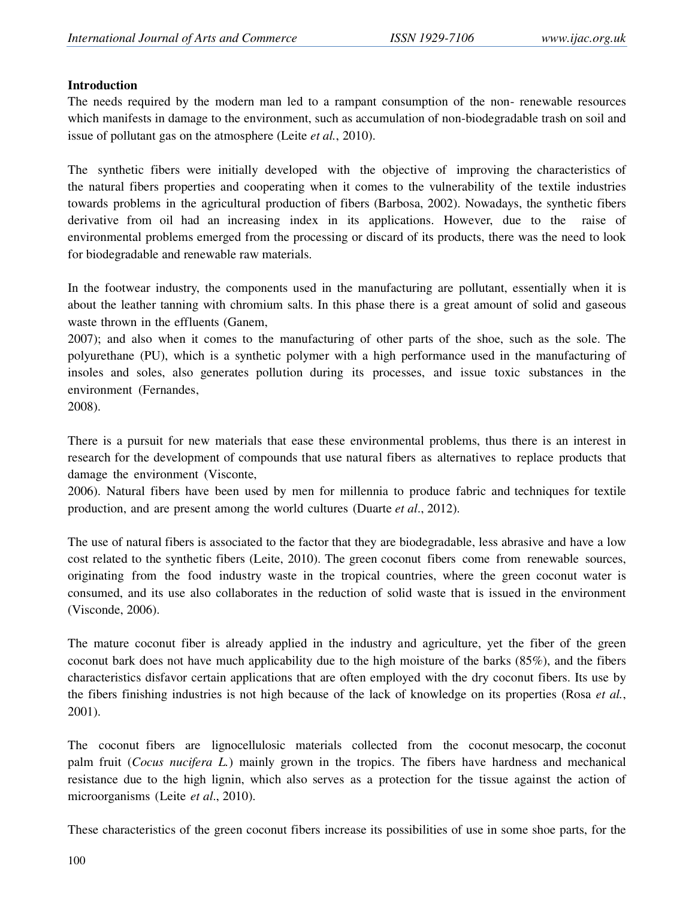#### **Introduction**

The needs required by the modern man led to a rampant consumption of the non- renewable resources which manifests in damage to the environment, such as accumulation of non-biodegradable trash on soil and issue of pollutant gas on the atmosphere (Leite *et al.*, 2010).

The synthetic fibers were initially developed with the objective of improving the characteristics of the natural fibers properties and cooperating when it comes to the vulnerability of the textile industries towards problems in the agricultural production of fibers (Barbosa, 2002). Nowadays, the synthetic fibers derivative from oil had an increasing index in its applications. However, due to the raise of environmental problems emerged from the processing or discard of its products, there was the need to look for biodegradable and renewable raw materials.

In the footwear industry, the components used in the manufacturing are pollutant, essentially when it is about the leather tanning with chromium salts. In this phase there is a great amount of solid and gaseous waste thrown in the effluents (Ganem,

2007); and also when it comes to the manufacturing of other parts of the shoe, such as the sole. The polyurethane (PU), which is a synthetic polymer with a high performance used in the manufacturing of insoles and soles, also generates pollution during its processes, and issue toxic substances in the environment (Fernandes,

2008).

There is a pursuit for new materials that ease these environmental problems, thus there is an interest in research for the development of compounds that use natural fibers as alternatives to replace products that damage the environment (Visconte,

2006). Natural fibers have been used by men for millennia to produce fabric and techniques for textile production, and are present among the world cultures (Duarte *et al*., 2012).

The use of natural fibers is associated to the factor that they are biodegradable, less abrasive and have a low cost related to the synthetic fibers (Leite, 2010). The green coconut fibers come from renewable sources, originating from the food industry waste in the tropical countries, where the green coconut water is consumed, and its use also collaborates in the reduction of solid waste that is issued in the environment (Visconde, 2006).

The mature coconut fiber is already applied in the industry and agriculture, yet the fiber of the green coconut bark does not have much applicability due to the high moisture of the barks (85%), and the fibers characteristics disfavor certain applications that are often employed with the dry coconut fibers. Its use by the fibers finishing industries is not high because of the lack of knowledge on its properties (Rosa *et al.*, 2001).

The coconut fibers are lignocellulosic materials collected from the coconut mesocarp, the coconut palm fruit (*Cocus nucifera L.*) mainly grown in the tropics. The fibers have hardness and mechanical resistance due to the high lignin, which also serves as a protection for the tissue against the action of microorganisms (Leite *et al*., 2010).

These characteristics of the green coconut fibers increase its possibilities of use in some shoe parts, for the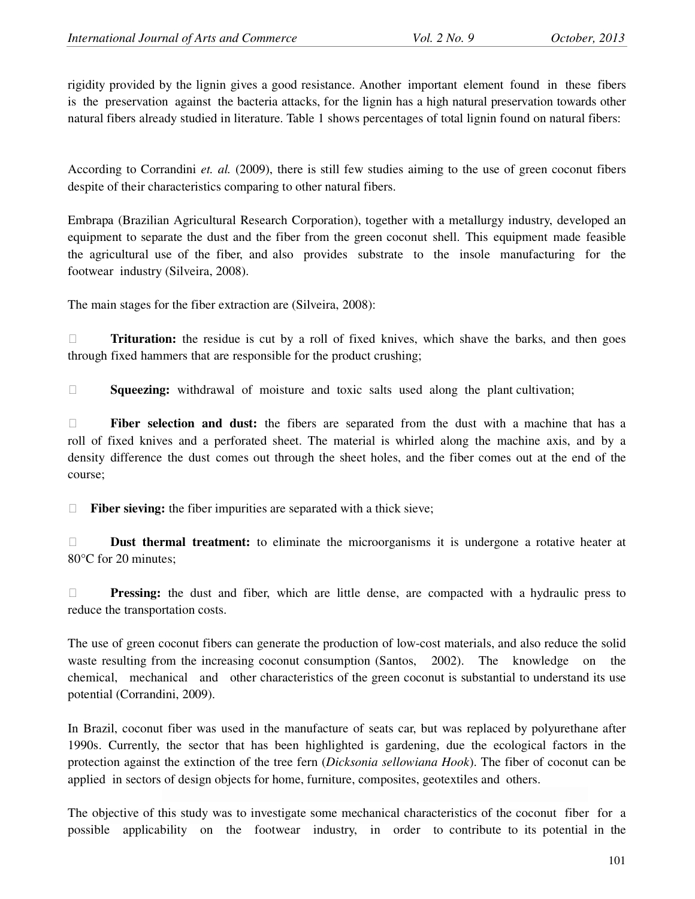rigidity provided by the lignin gives a good resistance. Another important element found in these fibers is the preservation against the bacteria attacks, for the lignin has a high natural preservation towards other natural fibers already studied in literature. Table 1 shows percentages of total lignin found on natural fibers:

According to Corrandini *et. al.* (2009), there is still few studies aiming to the use of green coconut fibers despite of their characteristics comparing to other natural fibers.

Embrapa (Brazilian Agricultural Research Corporation), together with a metallurgy industry, developed an equipment to separate the dust and the fiber from the green coconut shell. This equipment made feasible the agricultural use of the fiber, and also provides substrate to the insole manufacturing for the footwear industry (Silveira, 2008).

The main stages for the fiber extraction are (Silveira, 2008):

**Trituration:** the residue is cut by a roll of fixed knives, which shave the barks, and then goes through fixed hammers that are responsible for the product crushing;

**Squeezing:** withdrawal of moisture and toxic salts used along the plant cultivation;

 **Fiber selection and dust:** the fibers are separated from the dust with a machine that has a roll of fixed knives and a perforated sheet. The material is whirled along the machine axis, and by a density difference the dust comes out through the sheet holes, and the fiber comes out at the end of the course;

□ Fiber sieving: the fiber impurities are separated with a thick sieve;

**Dust thermal treatment:** to eliminate the microorganisms it is undergone a rotative heater at 80°C for 20 minutes;

**Pressing:** the dust and fiber, which are little dense, are compacted with a hydraulic press to reduce the transportation costs.

The use of green coconut fibers can generate the production of low-cost materials, and also reduce the solid waste resulting from the increasing coconut consumption (Santos, 2002). The knowledge on the chemical, mechanical and other characteristics of the green coconut is substantial to understand its use potential (Corrandini, 2009).

In Brazil, coconut fiber was used in the manufacture of seats car, but was replaced by polyurethane after 1990s. Currently, the sector that has been highlighted is gardening, due the ecological factors in the protection against the extinction of the tree fern (*Dicksonia sellowiana Hook*). The fiber of coconut can be applied in sectors of design objects for home, furniture, composites, geotextiles and others.

The objective of this study was to investigate some mechanical characteristics of the coconut fiber for a possible applicability on the footwear industry, in order to contribute to its potential in the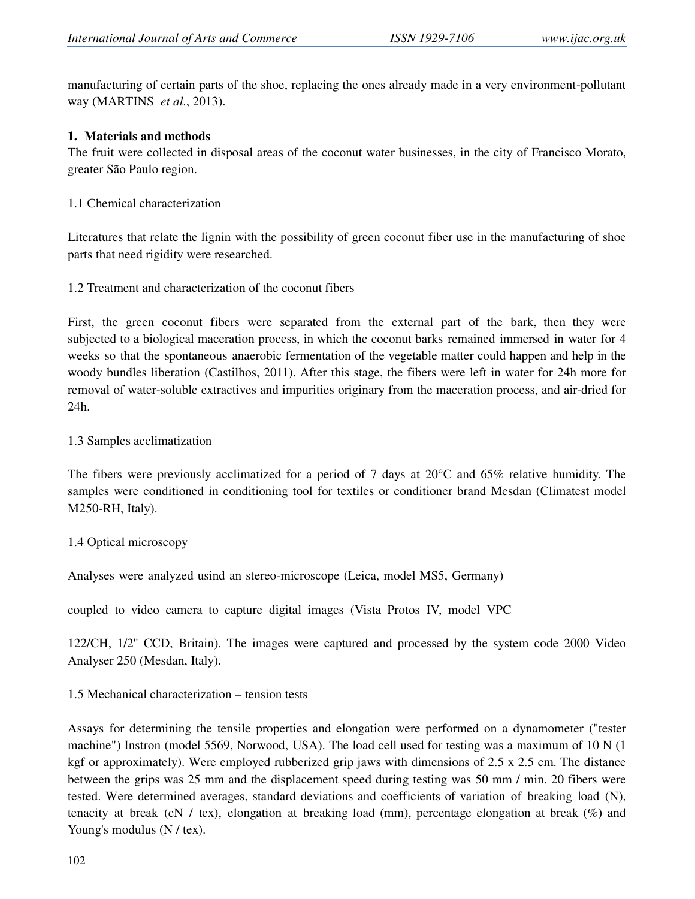manufacturing of certain parts of the shoe, replacing the ones already made in a very environment-pollutant way (MARTINS *et al*., 2013).

#### **1. Materials and methods**

The fruit were collected in disposal areas of the coconut water businesses, in the city of Francisco Morato, greater São Paulo region.

1.1 Chemical characterization

Literatures that relate the lignin with the possibility of green coconut fiber use in the manufacturing of shoe parts that need rigidity were researched.

1.2 Treatment and characterization of the coconut fibers

First, the green coconut fibers were separated from the external part of the bark, then they were subjected to a biological maceration process, in which the coconut barks remained immersed in water for 4 weeks so that the spontaneous anaerobic fermentation of the vegetable matter could happen and help in the woody bundles liberation (Castilhos, 2011). After this stage, the fibers were left in water for 24h more for removal of water-soluble extractives and impurities originary from the maceration process, and air-dried for 24h.

#### 1.3 Samples acclimatization

The fibers were previously acclimatized for a period of 7 days at  $20^{\circ}$ C and 65% relative humidity. The samples were conditioned in conditioning tool for textiles or conditioner brand Mesdan (Climatest model M250-RH, Italy).

# 1.4 Optical microscopy

Analyses were analyzed usind an stereo-microscope (Leica, model MS5, Germany)

coupled to video camera to capture digital images (Vista Protos IV, model VPC

122/CH, 1/2'' CCD, Britain). The images were captured and processed by the system code 2000 Video Analyser 250 (Mesdan, Italy).

# 1.5 Mechanical characterization – tension tests

Assays for determining the tensile properties and elongation were performed on a dynamometer ("tester machine") Instron (model 5569, Norwood, USA). The load cell used for testing was a maximum of 10 N (1 kgf or approximately). Were employed rubberized grip jaws with dimensions of 2.5 x 2.5 cm. The distance between the grips was 25 mm and the displacement speed during testing was 50 mm / min. 20 fibers were tested. Were determined averages, standard deviations and coefficients of variation of breaking load (N), tenacity at break (cN / tex), elongation at breaking load (mm), percentage elongation at break (%) and Young's modulus (N / tex).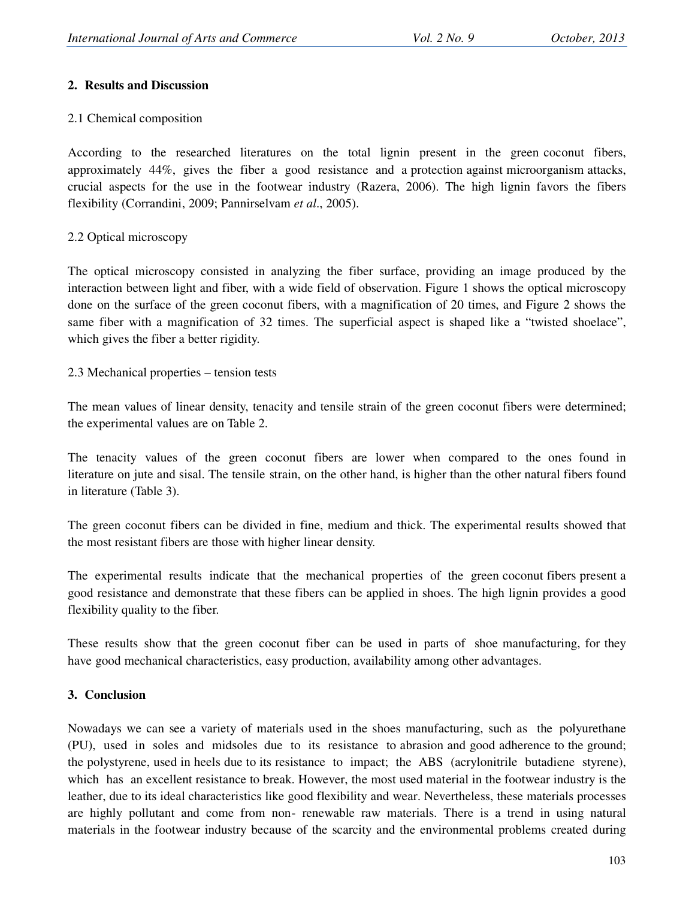# **2. Results and Discussion**

# 2.1 Chemical composition

According to the researched literatures on the total lignin present in the green coconut fibers, approximately 44%, gives the fiber a good resistance and a protection against microorganism attacks, crucial aspects for the use in the footwear industry (Razera, 2006). The high lignin favors the fibers flexibility (Corrandini, 2009; Pannirselvam *et al*., 2005).

# 2.2 Optical microscopy

The optical microscopy consisted in analyzing the fiber surface, providing an image produced by the interaction between light and fiber, with a wide field of observation. Figure 1 shows the optical microscopy done on the surface of the green coconut fibers, with a magnification of 20 times, and Figure 2 shows the same fiber with a magnification of 32 times. The superficial aspect is shaped like a "twisted shoelace", which gives the fiber a better rigidity.

2.3 Mechanical properties – tension tests

The mean values of linear density, tenacity and tensile strain of the green coconut fibers were determined; the experimental values are on Table 2.

The tenacity values of the green coconut fibers are lower when compared to the ones found in literature on jute and sisal. The tensile strain, on the other hand, is higher than the other natural fibers found in literature (Table 3).

The green coconut fibers can be divided in fine, medium and thick. The experimental results showed that the most resistant fibers are those with higher linear density.

The experimental results indicate that the mechanical properties of the green coconut fibers present a good resistance and demonstrate that these fibers can be applied in shoes. The high lignin provides a good flexibility quality to the fiber.

These results show that the green coconut fiber can be used in parts of shoe manufacturing, for they have good mechanical characteristics, easy production, availability among other advantages.

# **3. Conclusion**

Nowadays we can see a variety of materials used in the shoes manufacturing, such as the polyurethane (PU), used in soles and midsoles due to its resistance to abrasion and good adherence to the ground; the polystyrene, used in heels due to its resistance to impact; the ABS (acrylonitrile butadiene styrene), which has an excellent resistance to break. However, the most used material in the footwear industry is the leather, due to its ideal characteristics like good flexibility and wear. Nevertheless, these materials processes are highly pollutant and come from non- renewable raw materials. There is a trend in using natural materials in the footwear industry because of the scarcity and the environmental problems created during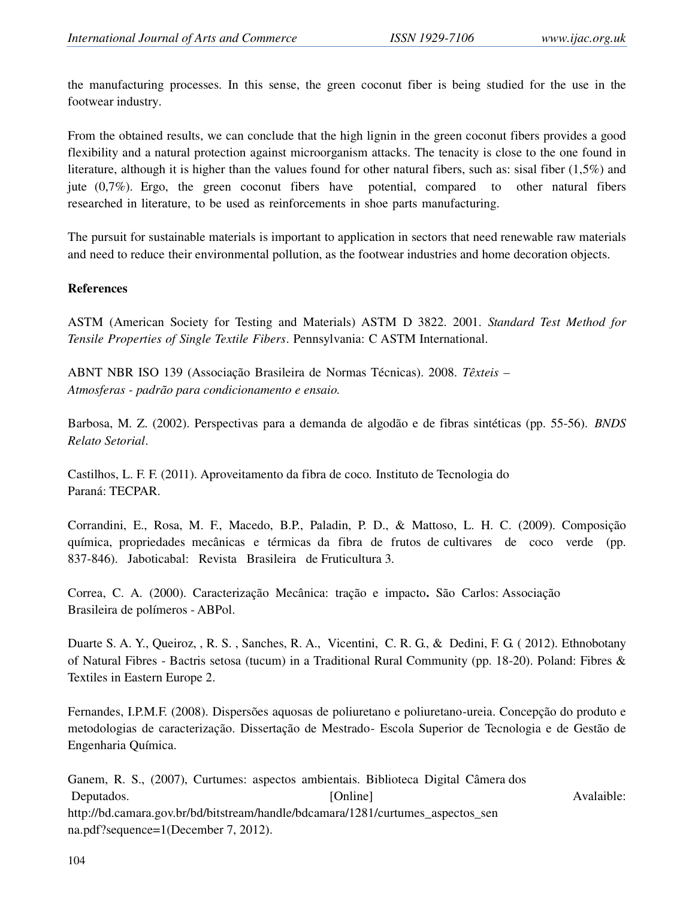the manufacturing processes. In this sense, the green coconut fiber is being studied for the use in the footwear industry.

From the obtained results, we can conclude that the high lignin in the green coconut fibers provides a good flexibility and a natural protection against microorganism attacks. The tenacity is close to the one found in literature, although it is higher than the values found for other natural fibers, such as: sisal fiber (1,5%) and jute (0,7%). Ergo, the green coconut fibers have potential, compared to other natural fibers researched in literature, to be used as reinforcements in shoe parts manufacturing.

The pursuit for sustainable materials is important to application in sectors that need renewable raw materials and need to reduce their environmental pollution, as the footwear industries and home decoration objects.

#### **References**

ASTM (American Society for Testing and Materials) ASTM D 3822. 2001. *Standard Test Method for Tensile Properties of Single Textile Fibers*. Pennsylvania: C ASTM International.

ABNT NBR ISO 139 (Associação Brasileira de Normas Técnicas). 2008. *Têxteis – Atmosferas - padrão para condicionamento e ensaio.*

Barbosa, M. Z. (2002). Perspectivas para a demanda de algodão e de fibras sintéticas (pp. 55-56). *BNDS Relato Setorial*.

Castilhos, L. F. F. (2011). Aproveitamento da fibra de coco*.* Instituto de Tecnologia do Paraná: TECPAR.

Corrandini, E., Rosa, M. F., Macedo, B.P., Paladin, P. D., & Mattoso, L. H. C. (2009). Composição química, propriedades mecânicas e térmicas da fibra de frutos de cultivares de coco verde (pp. 837-846). Jaboticabal: Revista Brasileira de Fruticultura 3.

Correa, C. A. (2000). Caracterização Mecânica: tração e impacto**.** São Carlos: Associação Brasileira de polímeros - ABPol.

Duarte S. A. Y., Queiroz, , R. S. , Sanches, R. A., Vicentini, C. R. G., & Dedini, F. G. ( 2012). Ethnobotany of Natural Fibres - Bactris setosa (tucum) in a Traditional Rural Community (pp. 18-20). Poland: Fibres & Textiles in Eastern Europe 2.

Fernandes, I.P.M.F. (2008). Dispersões aquosas de poliuretano e poliuretano-ureia. Concepção do produto e metodologias de caracterização. Dissertação de Mestrado- Escola Superior de Tecnologia e de Gestão de Engenharia Química.

Ganem, R. S., (2007), Curtumes: aspectos ambientais. Biblioteca Digital Câmera dos Deputados. Avalaible: [Online] and a series are a series and a series and a series and a series and a series and a series and a series and a series and a series and a series and a series and a series and a series and a ser http://bd.camara.gov.br/bd/bitstream/handle/bdcamara/1281/curtumes\_aspectos\_sen na.pdf?sequence=1(December 7, 2012).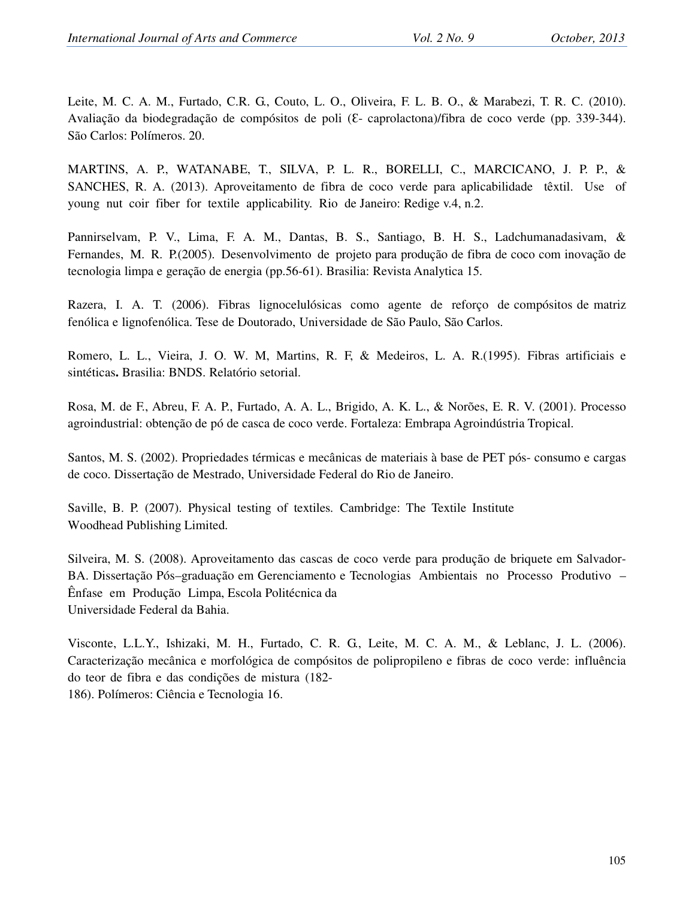Leite, M. C. A. M., Furtado, C.R. G., Couto, L. O., Oliveira, F. L. B. O., & Marabezi, T. R. C. (2010). Avaliação da biodegradação de compósitos de poli ( $\epsilon$ - caprolactona)/fibra de coco verde (pp. 339-344). São Carlos: Polímeros. 20.

MARTINS, A. P., WATANABE, T., SILVA, P. L. R., BORELLI, C., MARCICANO, J. P. P., & SANCHES, R. A. (2013). Aproveitamento de fibra de coco verde para aplicabilidade têxtil. Use of young nut coir fiber for textile applicability. Rio de Janeiro: Redige v.4, n.2.

Pannirselvam, P. V., Lima, F. A. M., Dantas, B. S., Santiago, B. H. S., Ladchumanadasivam, & Fernandes, M. R. P.(2005). Desenvolvimento de projeto para produção de fibra de coco com inovação de tecnologia limpa e geração de energia (pp.56-61). Brasilia: Revista Analytica 15.

Razera, I. A. T. (2006). Fibras lignocelulósicas como agente de reforço de compósitos de matriz fenólica e lignofenólica. Tese de Doutorado, Universidade de São Paulo, São Carlos.

Romero, L. L., Vieira, J. O. W. M, Martins, R. F, & Medeiros, L. A. R.(1995). Fibras artificiais e sintéticas**.** Brasilia: BNDS. Relatório setorial.

Rosa, M. de F., Abreu, F. A. P., Furtado, A. A. L., Brigido, A. K. L., & Norões, E. R. V. (2001). Processo agroindustrial: obtenção de pó de casca de coco verde. Fortaleza: Embrapa Agroindústria Tropical.

Santos, M. S. (2002). Propriedades térmicas e mecânicas de materiais à base de PET pós- consumo e cargas de coco. Dissertação de Mestrado, Universidade Federal do Rio de Janeiro.

Saville, B. P. (2007). Physical testing of textiles*.* Cambridge: The Textile Institute Woodhead Publishing Limited.

Silveira, M. S. (2008). Aproveitamento das cascas de coco verde para produção de briquete em Salvador-BA. Dissertação Pós–graduação em Gerenciamento e Tecnologias Ambientais no Processo Produtivo – Ênfase em Produção Limpa, Escola Politécnica da Universidade Federal da Bahia.

Visconte, L.L.Y., Ishizaki, M. H., Furtado, C. R. G., Leite, M. C. A. M., & Leblanc, J. L. (2006). Caracterização mecânica e morfológica de compósitos de polipropileno e fibras de coco verde: influência do teor de fibra e das condições de mistura (182- 186). Polímeros: Ciência e Tecnologia 16.